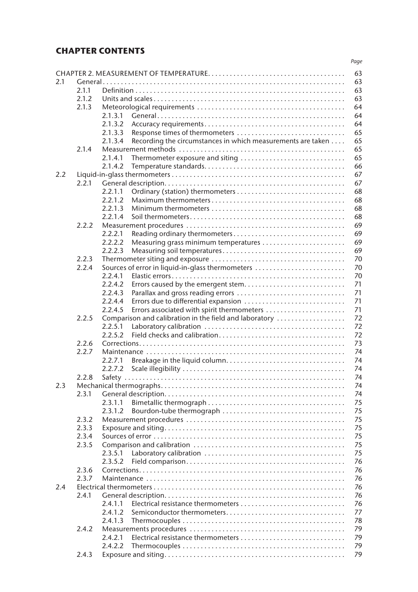# **CHAPTER CONTENTS**

|     |       |         |                                                             | Page |
|-----|-------|---------|-------------------------------------------------------------|------|
|     |       |         |                                                             | 63   |
| 2.1 |       |         |                                                             | 63   |
|     | 2.1.1 |         |                                                             | 63   |
|     | 2.1.2 |         |                                                             | 63   |
|     | 2.1.3 |         |                                                             | 64   |
|     |       | 2.1.3.1 |                                                             | 64   |
|     |       | 2.1.3.2 |                                                             | 64   |
|     |       | 2.1.3.3 | Response times of thermometers                              | 65   |
|     |       | 2.1.3.4 | Recording the circumstances in which measurements are taken | 65   |
|     | 2.1.4 |         |                                                             | 65   |
|     |       | 2.1.4.1 | Thermometer exposure and siting                             | 65   |
|     |       | 2.1.4.2 |                                                             | 66   |
|     |       |         |                                                             | 67   |
| 2.2 |       |         |                                                             |      |
|     | 2.2.1 |         |                                                             | 67   |
|     |       | 2.2.1.1 |                                                             | 68   |
|     |       | 2.2.1.2 |                                                             | 68   |
|     |       | 2.2.1.3 |                                                             | 68   |
|     |       | 2.2.1.4 |                                                             | 68   |
|     | 2.2.2 |         |                                                             | 69   |
|     |       | 2.2.2.1 | Reading ordinary thermometers                               | 69   |
|     |       | 2.2.2.2 | Measuring grass minimum temperatures                        | 69   |
|     |       | 2.2.2.3 |                                                             | 69   |
|     | 2.2.3 |         |                                                             | 70   |
|     | 2.2.4 |         | Sources of error in liquid-in-glass thermometers            | 70   |
|     |       | 2.2.4.1 |                                                             | 70   |
|     |       | 2.2.4.2 |                                                             | 71   |
|     |       | 2.2.4.3 |                                                             | 71   |
|     |       | 2.2.4.4 | Errors due to differential expansion                        | 71   |
|     |       | 2.2.4.5 | Errors associated with spirit thermometers                  | 71   |
|     | 2.2.5 |         | Comparison and calibration in the field and laboratory      | 72   |
|     |       | 2.2.5.1 |                                                             | 72   |
|     |       | 2.2.5.2 |                                                             | 72   |
|     | 2.2.6 |         |                                                             | 73   |
|     | 2.2.7 |         |                                                             | 74   |
|     |       | 2.2.7.1 |                                                             | 74   |
|     |       | 2.2.7.2 |                                                             | 74   |
|     | 2.2.8 |         |                                                             | 74   |
| 2.3 |       |         |                                                             | 74   |
|     | 2.3.1 |         |                                                             | 74   |
|     |       | 2.3.1.1 |                                                             | 75   |
|     |       |         |                                                             |      |
|     |       | 2.3.1.2 |                                                             | 75   |
|     | 2.3.2 |         |                                                             | 75   |
|     | 2.3.3 |         |                                                             | 75   |
|     | 2.3.4 |         |                                                             | 75   |
|     | 2.3.5 |         |                                                             | 75   |
|     |       | 2.3.5.1 |                                                             | 75   |
|     |       | 2.3.5.2 |                                                             | 76   |
|     | 2.3.6 |         |                                                             | 76   |
|     | 2.3.7 |         |                                                             | 76   |
| 2.4 |       |         |                                                             | 76   |
|     | 2.4.1 |         |                                                             | 76   |
|     |       | 2.4.1.1 |                                                             | 76   |
|     |       | 2.4.1.2 |                                                             | 77   |
|     |       | 2.4.1.3 |                                                             | 78   |
|     | 2.4.2 |         |                                                             | 79   |
|     |       | 2.4.2.1 | Electrical resistance thermometers                          | 79   |
|     |       | 2.4.2.2 |                                                             | 79   |
|     | 2.4.3 |         |                                                             | 79   |
|     |       |         |                                                             |      |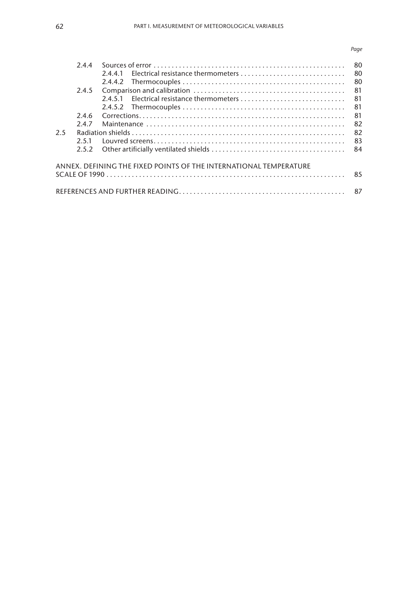#### *Page*

|    | 244   |      |                                                                   | 80 |
|----|-------|------|-------------------------------------------------------------------|----|
|    |       | 2441 | Electrical resistance thermometers                                | 80 |
|    |       |      |                                                                   | 80 |
|    | 2.4.5 |      |                                                                   | 81 |
|    |       |      |                                                                   | 81 |
|    |       |      |                                                                   | 81 |
|    | 246   |      |                                                                   | 81 |
|    | 247   |      |                                                                   | 82 |
| 25 |       |      |                                                                   | 82 |
|    | 2.5.1 |      |                                                                   | 83 |
|    | 2.5.2 |      |                                                                   | 84 |
|    |       |      | ANNEX. DEFINING THE FIXED POINTS OF THE INTERNATIONAL TEMPERATURE |    |
|    |       |      |                                                                   | 85 |
|    |       |      |                                                                   |    |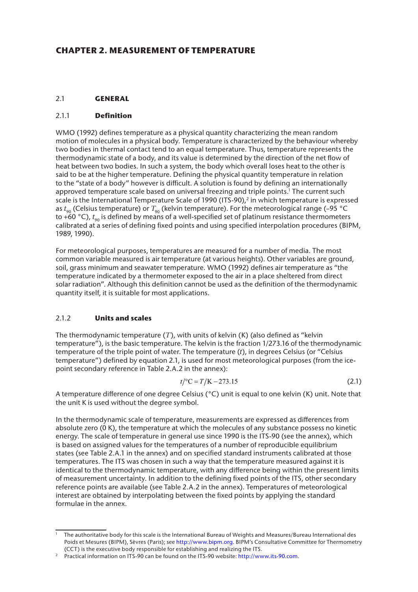# **CHAPTER 2. MEASUREMENT OF TEMPERATURE**

## 2.1 **GENERAL**

## 2.1.1 **Definition**

WMO (1992) defines temperature as a physical quantity characterizing the mean random motion of molecules in a physical body. Temperature is characterized by the behaviour whereby two bodies in thermal contact tend to an equal temperature. Thus, temperature represents the thermodynamic state of a body, and its value is determined by the direction of the net flow of heat between two bodies. In such a system, the body which overall loses heat to the other is said to be at the higher temperature. Defining the physical quantity temperature in relation to the "state of a body" however is difficult. A solution is found by defining an internationally approved temperature scale based on universal freezing and triple points.<sup>1</sup> The current such scale is the International Temperature Scale of 1990 (ITS-90),<sup>2</sup> in which temperature is expressed as  $t_{90}$  (Celsius temperature) or  $T_{90}$  (kelvin temperature). For the meteorological range (-95 °C to +60 °C),  $t_{90}$  is defined by means of a well-specified set of platinum resistance thermometers calibrated at a series of defining fixed points and using specified interpolation procedures (BIPM, 1989, 1990).

For meteorological purposes, temperatures are measured for a number of media. The most common variable measured is air temperature (at various heights). Other variables are ground, soil, grass minimum and seawater temperature. WMO (1992) defines air temperature as "the temperature indicated by a thermometer exposed to the air in a place sheltered from direct solar radiation". Although this definition cannot be used as the definition of the thermodynamic quantity itself, it is suitable for most applications.

### 2.1.2 **Units and scales**

The thermodynamic temperature (*T*), with units of kelvin (K) (also defined as "kelvin temperature"), is the basic temperature. The kelvin is the fraction 1/273.16 of the thermodynamic temperature of the triple point of water. The temperature (*t*), in degrees Celsius (or "Celsius temperature") defined by equation 2.1, is used for most meteorological purposes (from the icepoint secondary reference in Table 2.A.2 in the annex):

$$
t/\text{°C} = T/K - 273.15\tag{2.1}
$$

A temperature difference of one degree Celsius (°C) unit is equal to one kelvin (K) unit. Note that the unit K is used without the degree symbol.

In the thermodynamic scale of temperature, measurements are expressed as differences from absolute zero (0 K), the temperature at which the molecules of any substance possess no kinetic energy. The scale of temperature in general use since 1990 is the ITS-90 (see the annex), which is based on assigned values for the temperatures of a number of reproducible equilibrium states (see Table 2.A.1 in the annex) and on specified standard instruments calibrated at those temperatures. The ITS was chosen in such a way that the temperature measured against it is identical to the thermodynamic temperature, with any difference being within the present limits of measurement uncertainty. In addition to the defining fixed points of the ITS, other secondary reference points are available (see Table 2.A.2 in the annex). Temperatures of meteorological interest are obtained by interpolating between the fixed points by applying the standard formulae in the annex.

<sup>1</sup> The authoritative body for this scale is the International Bureau of Weights and Measures/Bureau International des Poids et Mesures (BIPM), Sèvres (Paris); see [http://www.bipm.org.](http://www.bipm.org) BIPM's Consultative Committee for Thermometry (CCT) is the executive body responsible for establishing and realizing the ITS.

<sup>2</sup> Practical information on ITS-90 can be found on the ITS-90 website:<http://www.its-90.com>.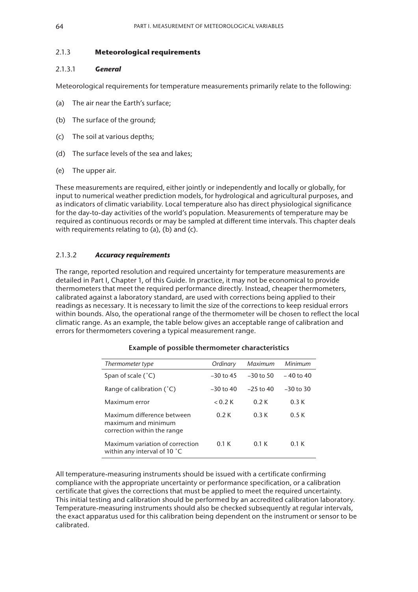## 2.1.3 **Meteorological requirements**

#### 2.1.3.1 *General*

Meteorological requirements for temperature measurements primarily relate to the following:

- (a) The air near the Earth's surface;
- (b) The surface of the ground;
- (c) The soil at various depths;
- (d) The surface levels of the sea and lakes;
- (e) The upper air.

These measurements are required, either jointly or independently and locally or globally, for input to numerical weather prediction models, for hydrological and agricultural purposes, and as indicators of climatic variability. Local temperature also has direct physiological significance for the day-to-day activities of the world's population. Measurements of temperature may be required as continuous records or may be sampled at different time intervals. This chapter deals with requirements relating to (a), (b) and (c).

### 2.1.3.2 *Accuracy requirements*

The range, reported resolution and required uncertainty for temperature measurements are detailed in Part I, Chapter 1, of this Guide. In practice, it may not be economical to provide thermometers that meet the required performance directly. Instead, cheaper thermometers, calibrated against a laboratory standard, are used with corrections being applied to their readings as necessary. It is necessary to limit the size of the corrections to keep residual errors within bounds. Also, the operational range of the thermometer will be chosen to reflect the local climatic range. As an example, the table below gives an acceptable range of calibration and errors for thermometers covering a typical measurement range.

| Thermometer type                                                                 | Ordinary      | Maximum     | Minimum       |
|----------------------------------------------------------------------------------|---------------|-------------|---------------|
| Span of scale $(^{\circ}C)$                                                      | $-30$ to 45   | $-30$ to 50 | $-40$ to $40$ |
| Range of calibration $(°C)$                                                      | $-30$ to $40$ | $-25$ to 40 | $-30$ to 30   |
| Maximum error                                                                    | < 0.2 K       | 0.2K        | 0.3K          |
| Maximum difference between<br>maximum and minimum<br>correction within the range | 0.2K          | 0.3K        | 0.5K          |
| Maximum variation of correction<br>within any interval of 10 °C                  | 0.1 K         | 0.1 K       | 0.1 K         |

#### **Example of possible thermometer characteristics**

All temperature-measuring instruments should be issued with a certificate confirming compliance with the appropriate uncertainty or performance specification, or a calibration certificate that gives the corrections that must be applied to meet the required uncertainty. This initial testing and calibration should be performed by an accredited calibration laboratory. Temperature-measuring instruments should also be checked subsequently at regular intervals, the exact apparatus used for this calibration being dependent on the instrument or sensor to be calibrated.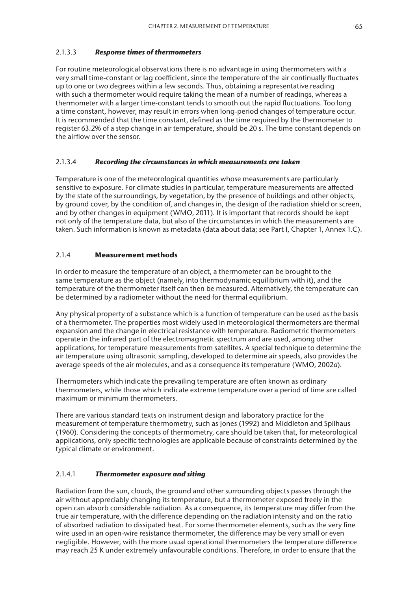### 2.1.3.3 *Response times of thermometers*

For routine meteorological observations there is no advantage in using thermometers with a very small time-constant or lag coefficient, since the temperature of the air continually fluctuates up to one or two degrees within a few seconds. Thus, obtaining a representative reading with such a thermometer would require taking the mean of a number of readings, whereas a thermometer with a larger time-constant tends to smooth out the rapid fluctuations. Too long a time constant, however, may result in errors when long-period changes of temperature occur. It is recommended that the time constant, defined as the time required by the thermometer to register 63.2% of a step change in air temperature, should be 20 s. The time constant depends on the airflow over the sensor.

### 2.1.3.4 *Recording the circumstances in which measurements are taken*

Temperature is one of the meteorological quantities whose measurements are particularly sensitive to exposure. For climate studies in particular, temperature measurements are affected by the state of the surroundings, by vegetation, by the presence of buildings and other objects, by ground cover, by the condition of, and changes in, the design of the radiation shield or screen, and by other changes in equipment (WMO, 2011). It is important that records should be kept not only of the temperature data, but also of the circumstances in which the measurements are taken. Such information is known as metadata (data about data; see Part I, Chapter 1, Annex 1.C).

### 2.1.4 **Measurement methods**

In order to measure the temperature of an object, a thermometer can be brought to the same temperature as the object (namely, into thermodynamic equilibrium with it), and the temperature of the thermometer itself can then be measured. Alternatively, the temperature can be determined by a radiometer without the need for thermal equilibrium.

Any physical property of a substance which is a function of temperature can be used as the basis of a thermometer. The properties most widely used in meteorological thermometers are thermal expansion and the change in electrical resistance with temperature. Radiometric thermometers operate in the infrared part of the electromagnetic spectrum and are used, among other applications, for temperature measurements from satellites. A special technique to determine the air temperature using ultrasonic sampling, developed to determine air speeds, also provides the average speeds of the air molecules, and as a consequence its temperature (WMO, 2002*a*).

Thermometers which indicate the prevailing temperature are often known as ordinary thermometers, while those which indicate extreme temperature over a period of time are called maximum or minimum thermometers.

There are various standard texts on instrument design and laboratory practice for the measurement of temperature thermometry, such as Jones (1992) and Middleton and Spilhaus (1960). Considering the concepts of thermometry, care should be taken that, for meteorological applications, only specific technologies are applicable because of constraints determined by the typical climate or environment.

### 2.1.4.1 *Thermometer exposure and siting*

Radiation from the sun, clouds, the ground and other surrounding objects passes through the air without appreciably changing its temperature, but a thermometer exposed freely in the open can absorb considerable radiation. As a consequence, its temperature may differ from the true air temperature, with the difference depending on the radiation intensity and on the ratio of absorbed radiation to dissipated heat. For some thermometer elements, such as the very fine wire used in an open-wire resistance thermometer, the difference may be very small or even negligible. However, with the more usual operational thermometers the temperature difference may reach 25 K under extremely unfavourable conditions. Therefore, in order to ensure that the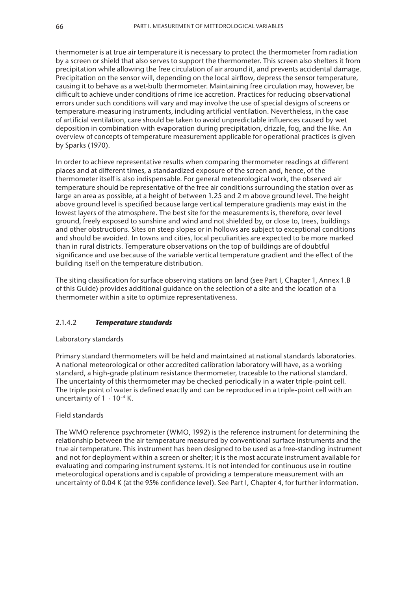thermometer is at true air temperature it is necessary to protect the thermometer from radiation by a screen or shield that also serves to support the thermometer. This screen also shelters it from precipitation while allowing the free circulation of air around it, and prevents accidental damage. Precipitation on the sensor will, depending on the local airflow, depress the sensor temperature, causing it to behave as a wet-bulb thermometer. Maintaining free circulation may, however, be difficult to achieve under conditions of rime ice accretion. Practices for reducing observational errors under such conditions will vary and may involve the use of special designs of screens or temperature-measuring instruments, including artificial ventilation. Nevertheless, in the case of artificial ventilation, care should be taken to avoid unpredictable influences caused by wet deposition in combination with evaporation during precipitation, drizzle, fog, and the like. An overview of concepts of temperature measurement applicable for operational practices is given by Sparks (1970).

In order to achieve representative results when comparing thermometer readings at different places and at different times, a standardized exposure of the screen and, hence, of the thermometer itself is also indispensable. For general meteorological work, the observed air temperature should be representative of the free air conditions surrounding the station over as large an area as possible, at a height of between 1.25 and 2 m above ground level. The height above ground level is specified because large vertical temperature gradients may exist in the lowest layers of the atmosphere. The best site for the measurements is, therefore, over level ground, freely exposed to sunshine and wind and not shielded by, or close to, trees, buildings and other obstructions. Sites on steep slopes or in hollows are subject to exceptional conditions and should be avoided. In towns and cities, local peculiarities are expected to be more marked than in rural districts. Temperature observations on the top of buildings are of doubtful significance and use because of the variable vertical temperature gradient and the effect of the building itself on the temperature distribution.

The siting classification for surface observing stations on land (see Part I, Chapter 1, Annex 1.B of this Guide) provides additional guidance on the selection of a site and the location of a thermometer within a site to optimize representativeness.

### 2.1.4.2 *Temperature standards*

#### Laboratory standards

Primary standard thermometers will be held and maintained at national standards laboratories. A national meteorological or other accredited calibration laboratory will have, as a working standard, a high-grade platinum resistance thermometer, traceable to the national standard. The uncertainty of this thermometer may be checked periodically in a water triple-point cell. The triple point of water is defined exactly and can be reproduced in a triple-point cell with an uncertainty of  $1 \cdot 10^{-4}$  K.

### Field standards

The WMO reference psychrometer (WMO, 1992) is the reference instrument for determining the relationship between the air temperature measured by conventional surface instruments and the true air temperature. This instrument has been designed to be used as a free-standing instrument and not for deployment within a screen or shelter; it is the most accurate instrument available for evaluating and comparing instrument systems. It is not intended for continuous use in routine meteorological operations and is capable of providing a temperature measurement with an uncertainty of 0.04 K (at the 95% confidence level). See Part I, Chapter 4, for further information.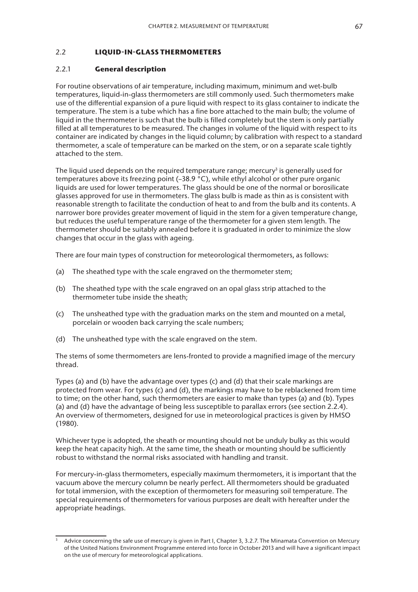## 2.2 **LIQUID-IN-GLASS THERMOMETERS**

## 2.2.1 **General description**

For routine observations of air temperature, including maximum, minimum and wet-bulb temperatures, liquid-in-glass thermometers are still commonly used. Such thermometers make use of the differential expansion of a pure liquid with respect to its glass container to indicate the temperature. The stem is a tube which has a fine bore attached to the main bulb; the volume of liquid in the thermometer is such that the bulb is filled completely but the stem is only partially filled at all temperatures to be measured. The changes in volume of the liquid with respect to its container are indicated by changes in the liquid column; by calibration with respect to a standard thermometer, a scale of temperature can be marked on the stem, or on a separate scale tightly attached to the stem.

The liquid used depends on the required temperature range; mercury<sup>3</sup> is generally used for temperatures above its freezing point (-38.9 °C), while ethyl alcohol or other pure organic liquids are used for lower temperatures. The glass should be one of the normal or borosilicate glasses approved for use in thermometers. The glass bulb is made as thin as is consistent with reasonable strength to facilitate the conduction of heat to and from the bulb and its contents. A narrower bore provides greater movement of liquid in the stem for a given temperature change, but reduces the useful temperature range of the thermometer for a given stem length. The thermometer should be suitably annealed before it is graduated in order to minimize the slow changes that occur in the glass with ageing.

There are four main types of construction for meteorological thermometers, as follows:

- (a) The sheathed type with the scale engraved on the thermometer stem;
- (b) The sheathed type with the scale engraved on an opal glass strip attached to the thermometer tube inside the sheath;
- (c) The unsheathed type with the graduation marks on the stem and mounted on a metal, porcelain or wooden back carrying the scale numbers;
- (d) The unsheathed type with the scale engraved on the stem.

The stems of some thermometers are lens-fronted to provide a magnified image of the mercury thread.

Types (a) and (b) have the advantage over types (c) and (d) that their scale markings are protected from wear. For types (c) and (d), the markings may have to be reblackened from time to time; on the other hand, such thermometers are easier to make than types (a) and (b). Types (a) and (d) have the advantage of being less susceptible to parallax errors (see section 2.2.4). An overview of thermometers, designed for use in meteorological practices is given by HMSO (1980).

Whichever type is adopted, the sheath or mounting should not be unduly bulky as this would keep the heat capacity high. At the same time, the sheath or mounting should be sufficiently robust to withstand the normal risks associated with handling and transit.

For mercury-in-glass thermometers, especially maximum thermometers, it is important that the vacuum above the mercury column be nearly perfect. All thermometers should be graduated for total immersion, with the exception of thermometers for measuring soil temperature. The special requirements of thermometers for various purposes are dealt with hereafter under the appropriate headings.

Advice concerning the safe use of mercury is given in Part I, Chapter 3, 3.2.7. The Minamata Convention on Mercury of the United Nations Environment Programme entered into force in October 2013 and will have a significant impact on the use of mercury for meteorological applications.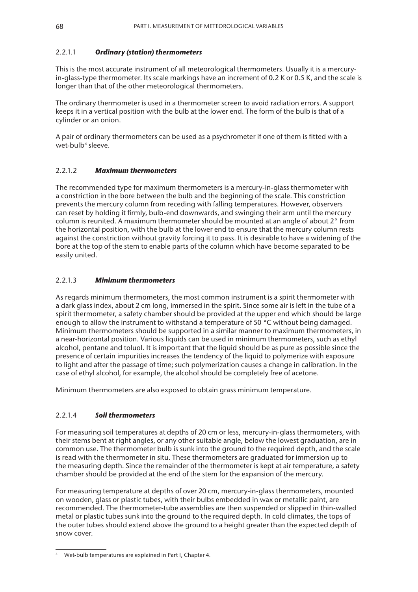## 2.2.1.1 *Ordinary (station) thermometers*

This is the most accurate instrument of all meteorological thermometers. Usually it is a mercuryin-glass-type thermometer. Its scale markings have an increment of 0.2 K or 0.5 K, and the scale is longer than that of the other meteorological thermometers.

The ordinary thermometer is used in a thermometer screen to avoid radiation errors. A support keeps it in a vertical position with the bulb at the lower end. The form of the bulb is that of a cylinder or an onion.

A pair of ordinary thermometers can be used as a psychrometer if one of them is fitted with a wet-bulb<sup>4</sup> sleeve.

## 2.2.1.2 *Maximum thermometers*

The recommended type for maximum thermometers is a mercury-in-glass thermometer with a constriction in the bore between the bulb and the beginning of the scale. This constriction prevents the mercury column from receding with falling temperatures. However, observers can reset by holding it firmly, bulb-end downwards, and swinging their arm until the mercury column is reunited. A maximum thermometer should be mounted at an angle of about 2° from the horizontal position, with the bulb at the lower end to ensure that the mercury column rests against the constriction without gravity forcing it to pass. It is desirable to have a widening of the bore at the top of the stem to enable parts of the column which have become separated to be easily united.

## 2.2.1.3 *Minimum thermometers*

As regards minimum thermometers, the most common instrument is a spirit thermometer with a dark glass index, about 2 cm long, immersed in the spirit. Since some air is left in the tube of a spirit thermometer, a safety chamber should be provided at the upper end which should be large enough to allow the instrument to withstand a temperature of 50 °C without being damaged. Minimum thermometers should be supported in a similar manner to maximum thermometers, in a near-horizontal position. Various liquids can be used in minimum thermometers, such as ethyl alcohol, pentane and toluol. It is important that the liquid should be as pure as possible since the presence of certain impurities increases the tendency of the liquid to polymerize with exposure to light and after the passage of time; such polymerization causes a change in calibration. In the case of ethyl alcohol, for example, the alcohol should be completely free of acetone.

Minimum thermometers are also exposed to obtain grass minimum temperature.

## 2.2.1.4 *Soil thermometers*

For measuring soil temperatures at depths of 20 cm or less, mercury-in-glass thermometers, with their stems bent at right angles, or any other suitable angle, below the lowest graduation, are in common use. The thermometer bulb is sunk into the ground to the required depth, and the scale is read with the thermometer in situ. These thermometers are graduated for immersion up to the measuring depth. Since the remainder of the thermometer is kept at air temperature, a safety chamber should be provided at the end of the stem for the expansion of the mercury.

For measuring temperature at depths of over 20 cm, mercury-in-glass thermometers, mounted on wooden, glass or plastic tubes, with their bulbs embedded in wax or metallic paint, are recommended. The thermometer-tube assemblies are then suspended or slipped in thin-walled metal or plastic tubes sunk into the ground to the required depth. In cold climates, the tops of the outer tubes should extend above the ground to a height greater than the expected depth of snow cover.

Wet-bulb temperatures are explained in Part I, Chapter 4.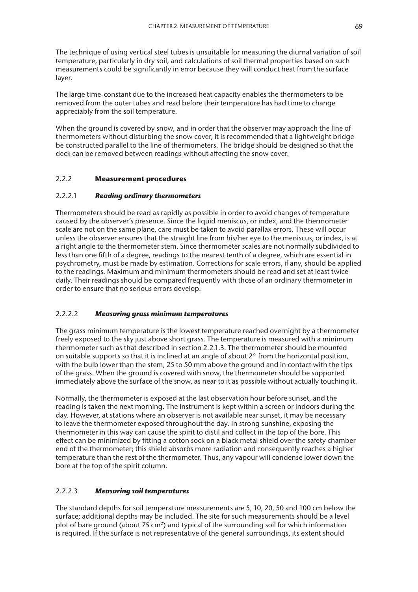The technique of using vertical steel tubes is unsuitable for measuring the diurnal variation of soil temperature, particularly in dry soil, and calculations of soil thermal properties based on such measurements could be significantly in error because they will conduct heat from the surface layer.

The large time-constant due to the increased heat capacity enables the thermometers to be removed from the outer tubes and read before their temperature has had time to change appreciably from the soil temperature.

When the ground is covered by snow, and in order that the observer may approach the line of thermometers without disturbing the snow cover, it is recommended that a lightweight bridge be constructed parallel to the line of thermometers. The bridge should be designed so that the deck can be removed between readings without affecting the snow cover.

### 2.2.2 **Measurement procedures**

### 2.2.2.1 *Reading ordinary thermometers*

Thermometers should be read as rapidly as possible in order to avoid changes of temperature caused by the observer's presence. Since the liquid meniscus, or index, and the thermometer scale are not on the same plane, care must be taken to avoid parallax errors. These will occur unless the observer ensures that the straight line from his/her eye to the meniscus, or index, is at a right angle to the thermometer stem. Since thermometer scales are not normally subdivided to less than one fifth of a degree, readings to the nearest tenth of a degree, which are essential in psychrometry, must be made by estimation. Corrections for scale errors, if any, should be applied to the readings. Maximum and minimum thermometers should be read and set at least twice daily. Their readings should be compared frequently with those of an ordinary thermometer in order to ensure that no serious errors develop.

### 2.2.2.2 *Measuring grass minimum temperatures*

The grass minimum temperature is the lowest temperature reached overnight by a thermometer freely exposed to the sky just above short grass. The temperature is measured with a minimum thermometer such as that described in section 2.2.1.3. The thermometer should be mounted on suitable supports so that it is inclined at an angle of about 2° from the horizontal position, with the bulb lower than the stem, 25 to 50 mm above the ground and in contact with the tips of the grass. When the ground is covered with snow, the thermometer should be supported immediately above the surface of the snow, as near to it as possible without actually touching it.

Normally, the thermometer is exposed at the last observation hour before sunset, and the reading is taken the next morning. The instrument is kept within a screen or indoors during the day. However, at stations where an observer is not available near sunset, it may be necessary to leave the thermometer exposed throughout the day. In strong sunshine, exposing the thermometer in this way can cause the spirit to distil and collect in the top of the bore. This effect can be minimized by fitting a cotton sock on a black metal shield over the safety chamber end of the thermometer; this shield absorbs more radiation and consequently reaches a higher temperature than the rest of the thermometer. Thus, any vapour will condense lower down the bore at the top of the spirit column.

## 2.2.2.3 *Measuring soil temperatures*

The standard depths for soil temperature measurements are 5, 10, 20, 50 and 100 cm below the surface; additional depths may be included. The site for such measurements should be a level plot of bare ground (about 75 cm<sup>2</sup>) and typical of the surrounding soil for which information is required. If the surface is not representative of the general surroundings, its extent should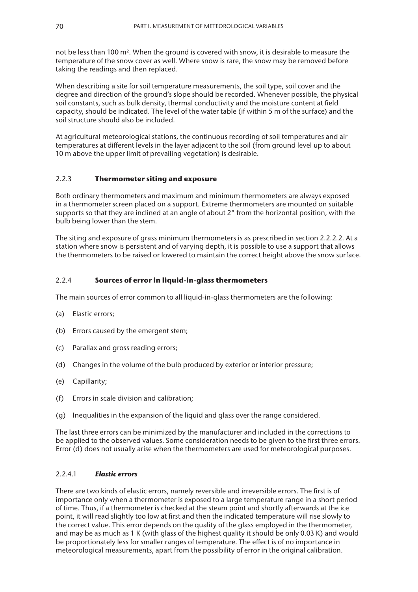not be less than 100 m<sup>2</sup>. When the ground is covered with snow, it is desirable to measure the temperature of the snow cover as well. Where snow is rare, the snow may be removed before taking the readings and then replaced.

When describing a site for soil temperature measurements, the soil type, soil cover and the degree and direction of the ground's slope should be recorded. Whenever possible, the physical soil constants, such as bulk density, thermal conductivity and the moisture content at field capacity, should be indicated. The level of the water table (if within 5 m of the surface) and the soil structure should also be included.

At agricultural meteorological stations, the continuous recording of soil temperatures and air temperatures at different levels in the layer adjacent to the soil (from ground level up to about 10 m above the upper limit of prevailing vegetation) is desirable.

### 2.2.3 **Thermometer siting and exposure**

Both ordinary thermometers and maximum and minimum thermometers are always exposed in a thermometer screen placed on a support. Extreme thermometers are mounted on suitable supports so that they are inclined at an angle of about 2° from the horizontal position, with the bulb being lower than the stem.

The siting and exposure of grass minimum thermometers is as prescribed in section 2.2.2.2. At a station where snow is persistent and of varying depth, it is possible to use a support that allows the thermometers to be raised or lowered to maintain the correct height above the snow surface.

### 2.2.4 **Sources of error in liquid-in-glass thermometers**

The main sources of error common to all liquid-in-glass thermometers are the following:

- (a) Elastic errors;
- (b) Errors caused by the emergent stem;
- (c) Parallax and gross reading errors;
- (d) Changes in the volume of the bulb produced by exterior or interior pressure;
- (e) Capillarity;
- (f) Errors in scale division and calibration;
- (g) Inequalities in the expansion of the liquid and glass over the range considered.

The last three errors can be minimized by the manufacturer and included in the corrections to be applied to the observed values. Some consideration needs to be given to the first three errors. Error (d) does not usually arise when the thermometers are used for meteorological purposes.

### 2.2.4.1 *Elastic errors*

There are two kinds of elastic errors, namely reversible and irreversible errors. The first is of importance only when a thermometer is exposed to a large temperature range in a short period of time. Thus, if a thermometer is checked at the steam point and shortly afterwards at the ice point, it will read slightly too low at first and then the indicated temperature will rise slowly to the correct value. This error depends on the quality of the glass employed in the thermometer, and may be as much as 1 K (with glass of the highest quality it should be only 0.03 K) and would be proportionately less for smaller ranges of temperature. The effect is of no importance in meteorological measurements, apart from the possibility of error in the original calibration.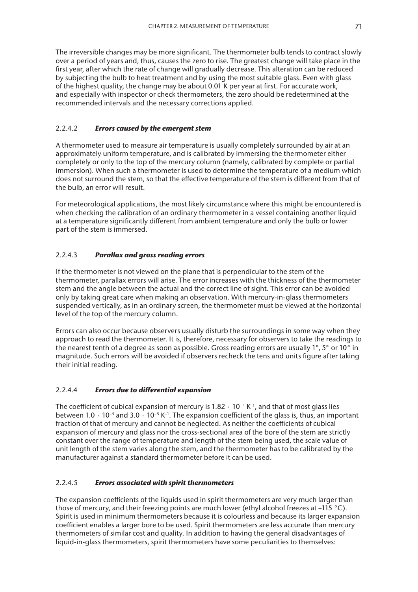The irreversible changes may be more significant. The thermometer bulb tends to contract slowly over a period of years and, thus, causes the zero to rise. The greatest change will take place in the first year, after which the rate of change will gradually decrease. This alteration can be reduced by subjecting the bulb to heat treatment and by using the most suitable glass. Even with glass of the highest quality, the change may be about 0.01 K per year at first. For accurate work, and especially with inspector or check thermometers, the zero should be redetermined at the recommended intervals and the necessary corrections applied.

## 2.2.4.2 *Errors caused by the emergent stem*

A thermometer used to measure air temperature is usually completely surrounded by air at an approximately uniform temperature, and is calibrated by immersing the thermometer either completely or only to the top of the mercury column (namely, calibrated by complete or partial immersion). When such a thermometer is used to determine the temperature of a medium which does not surround the stem, so that the effective temperature of the stem is different from that of the bulb, an error will result.

For meteorological applications, the most likely circumstance where this might be encountered is when checking the calibration of an ordinary thermometer in a vessel containing another liquid at a temperature significantly different from ambient temperature and only the bulb or lower part of the stem is immersed.

## 2.2.4.3 *Parallax and gross reading errors*

If the thermometer is not viewed on the plane that is perpendicular to the stem of the thermometer, parallax errors will arise. The error increases with the thickness of the thermometer stem and the angle between the actual and the correct line of sight. This error can be avoided only by taking great care when making an observation. With mercury-in-glass thermometers suspended vertically, as in an ordinary screen, the thermometer must be viewed at the horizontal level of the top of the mercury column.

Errors can also occur because observers usually disturb the surroundings in some way when they approach to read the thermometer. It is, therefore, necessary for observers to take the readings to the nearest tenth of a degree as soon as possible. Gross reading errors are usually 1°, 5° or 10° in magnitude. Such errors will be avoided if observers recheck the tens and units figure after taking their initial reading.

### 2.2.4.4 *Errors due to differential expansion*

The coefficient of cubical expansion of mercury is  $1.82 \cdot 10^{-4}$  K<sup>-1</sup>, and that of most glass lies between 1.0  $\cdot$  10<sup>-5</sup> and 3.0  $\cdot$  10<sup>-5</sup> K<sup>-1</sup>. The expansion coefficient of the glass is, thus, an important fraction of that of mercury and cannot be neglected. As neither the coefficients of cubical expansion of mercury and glass nor the cross-sectional area of the bore of the stem are strictly constant over the range of temperature and length of the stem being used, the scale value of unit length of the stem varies along the stem, and the thermometer has to be calibrated by the manufacturer against a standard thermometer before it can be used.

### 2.2.4.5 *Errors associated with spirit thermometers*

The expansion coefficients of the liquids used in spirit thermometers are very much larger than those of mercury, and their freezing points are much lower (ethyl alcohol freezes at  $-115$  °C). Spirit is used in minimum thermometers because it is colourless and because its larger expansion coefficient enables a larger bore to be used. Spirit thermometers are less accurate than mercury thermometers of similar cost and quality. In addition to having the general disadvantages of liquid-in-glass thermometers, spirit thermometers have some peculiarities to themselves: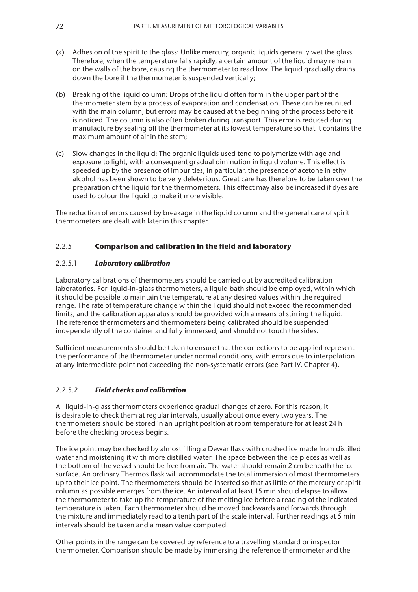- (a) Adhesion of the spirit to the glass: Unlike mercury, organic liquids generally wet the glass. Therefore, when the temperature falls rapidly, a certain amount of the liquid may remain on the walls of the bore, causing the thermometer to read low. The liquid gradually drains down the bore if the thermometer is suspended vertically;
- (b) Breaking of the liquid column: Drops of the liquid often form in the upper part of the thermometer stem by a process of evaporation and condensation. These can be reunited with the main column, but errors may be caused at the beginning of the process before it is noticed. The column is also often broken during transport. This error is reduced during manufacture by sealing off the thermometer at its lowest temperature so that it contains the maximum amount of air in the stem;
- (c) Slow changes in the liquid: The organic liquids used tend to polymerize with age and exposure to light, with a consequent gradual diminution in liquid volume. This effect is speeded up by the presence of impurities; in particular, the presence of acetone in ethyl alcohol has been shown to be very deleterious. Great care has therefore to be taken over the preparation of the liquid for the thermometers. This effect may also be increased if dyes are used to colour the liquid to make it more visible.

The reduction of errors caused by breakage in the liquid column and the general care of spirit thermometers are dealt with later in this chapter.

### 2.2.5 **Comparison and calibration in the field and laboratory**

### 2.2.5.1 *Laboratory calibration*

Laboratory calibrations of thermometers should be carried out by accredited calibration laboratories. For liquid-in-glass thermometers, a liquid bath should be employed, within which it should be possible to maintain the temperature at any desired values within the required range. The rate of temperature change within the liquid should not exceed the recommended limits, and the calibration apparatus should be provided with a means of stirring the liquid. The reference thermometers and thermometers being calibrated should be suspended independently of the container and fully immersed, and should not touch the sides.

Sufficient measurements should be taken to ensure that the corrections to be applied represent the performance of the thermometer under normal conditions, with errors due to interpolation at any intermediate point not exceeding the non-systematic errors (see Part IV, Chapter 4).

### 2.2.5.2 *Field checks and calibration*

All liquid-in-glass thermometers experience gradual changes of zero. For this reason, it is desirable to check them at regular intervals, usually about once every two years. The thermometers should be stored in an upright position at room temperature for at least 24 h before the checking process begins.

The ice point may be checked by almost filling a Dewar flask with crushed ice made from distilled water and moistening it with more distilled water. The space between the ice pieces as well as the bottom of the vessel should be free from air. The water should remain 2 cm beneath the ice surface. An ordinary Thermos flask will accommodate the total immersion of most thermometers up to their ice point. The thermometers should be inserted so that as little of the mercury or spirit column as possible emerges from the ice. An interval of at least 15 min should elapse to allow the thermometer to take up the temperature of the melting ice before a reading of the indicated temperature is taken. Each thermometer should be moved backwards and forwards through the mixture and immediately read to a tenth part of the scale interval. Further readings at 5 min intervals should be taken and a mean value computed.

Other points in the range can be covered by reference to a travelling standard or inspector thermometer. Comparison should be made by immersing the reference thermometer and the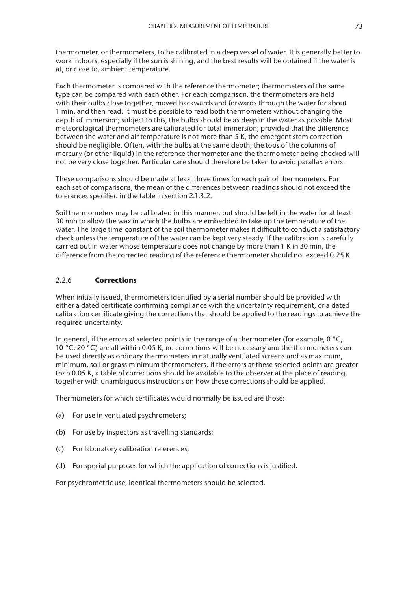thermometer, or thermometers, to be calibrated in a deep vessel of water. It is generally better to work indoors, especially if the sun is shining, and the best results will be obtained if the water is at, or close to, ambient temperature.

Each thermometer is compared with the reference thermometer; thermometers of the same type can be compared with each other. For each comparison, the thermometers are held with their bulbs close together, moved backwards and forwards through the water for about 1 min, and then read. It must be possible to read both thermometers without changing the depth of immersion; subject to this, the bulbs should be as deep in the water as possible. Most meteorological thermometers are calibrated for total immersion; provided that the difference between the water and air temperature is not more than 5 K, the emergent stem correction should be negligible. Often, with the bulbs at the same depth, the tops of the columns of mercury (or other liquid) in the reference thermometer and the thermometer being checked will not be very close together. Particular care should therefore be taken to avoid parallax errors.

These comparisons should be made at least three times for each pair of thermometers. For each set of comparisons, the mean of the differences between readings should not exceed the tolerances specified in the table in section 2.1.3.2.

Soil thermometers may be calibrated in this manner, but should be left in the water for at least 30 min to allow the wax in which the bulbs are embedded to take up the temperature of the water. The large time-constant of the soil thermometer makes it difficult to conduct a satisfactory check unless the temperature of the water can be kept very steady. If the calibration is carefully carried out in water whose temperature does not change by more than 1 K in 30 min, the difference from the corrected reading of the reference thermometer should not exceed 0.25 K.

### 2.2.6 **Corrections**

When initially issued, thermometers identified by a serial number should be provided with either a dated certificate confirming compliance with the uncertainty requirement, or a dated calibration certificate giving the corrections that should be applied to the readings to achieve the required uncertainty.

In general, if the errors at selected points in the range of a thermometer (for example,  $0^{\circ}C$ , 10 °C, 20 °C) are all within 0.05 K, no corrections will be necessary and the thermometers can be used directly as ordinary thermometers in naturally ventilated screens and as maximum, minimum, soil or grass minimum thermometers. If the errors at these selected points are greater than 0.05 K, a table of corrections should be available to the observer at the place of reading, together with unambiguous instructions on how these corrections should be applied.

Thermometers for which certificates would normally be issued are those:

- (a) For use in ventilated psychrometers;
- (b) For use by inspectors as travelling standards;
- (c) For laboratory calibration references;
- (d) For special purposes for which the application of corrections is justified.

For psychrometric use, identical thermometers should be selected.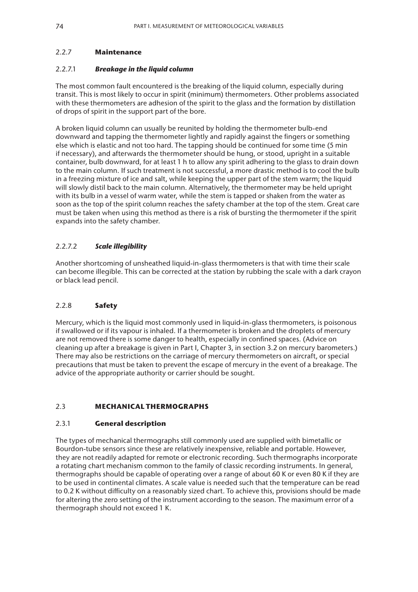## 2.2.7 **Maintenance**

## 2.2.7.1 *Breakage in the liquid column*

The most common fault encountered is the breaking of the liquid column, especially during transit. This is most likely to occur in spirit (minimum) thermometers. Other problems associated with these thermometers are adhesion of the spirit to the glass and the formation by distillation of drops of spirit in the support part of the bore.

A broken liquid column can usually be reunited by holding the thermometer bulb-end downward and tapping the thermometer lightly and rapidly against the fingers or something else which is elastic and not too hard. The tapping should be continued for some time (5 min if necessary), and afterwards the thermometer should be hung, or stood, upright in a suitable container, bulb downward, for at least 1 h to allow any spirit adhering to the glass to drain down to the main column. If such treatment is not successful, a more drastic method is to cool the bulb in a freezing mixture of ice and salt, while keeping the upper part of the stem warm; the liquid will slowly distil back to the main column. Alternatively, the thermometer may be held upright with its bulb in a vessel of warm water, while the stem is tapped or shaken from the water as soon as the top of the spirit column reaches the safety chamber at the top of the stem. Great care must be taken when using this method as there is a risk of bursting the thermometer if the spirit expands into the safety chamber.

## 2.2.7.2 *Scale illegibility*

Another shortcoming of unsheathed liquid-in-glass thermometers is that with time their scale can become illegible. This can be corrected at the station by rubbing the scale with a dark crayon or black lead pencil.

## 2.2.8 **Safety**

Mercury, which is the liquid most commonly used in liquid-in-glass thermometers, is poisonous if swallowed or if its vapour is inhaled. If a thermometer is broken and the droplets of mercury are not removed there is some danger to health, especially in confined spaces. (Advice on cleaning up after a breakage is given in Part I, Chapter 3, in section 3.2 on mercury barometers.) There may also be restrictions on the carriage of mercury thermometers on aircraft, or special precautions that must be taken to prevent the escape of mercury in the event of a breakage. The advice of the appropriate authority or carrier should be sought.

## 2.3 **MECHANICAL THERMOGRAPHS**

## 2.3.1 **General description**

The types of mechanical thermographs still commonly used are supplied with bimetallic or Bourdon-tube sensors since these are relatively inexpensive, reliable and portable. However, they are not readily adapted for remote or electronic recording. Such thermographs incorporate a rotating chart mechanism common to the family of classic recording instruments. In general, thermographs should be capable of operating over a range of about 60 K or even 80 K if they are to be used in continental climates. A scale value is needed such that the temperature can be read to 0.2 K without difficulty on a reasonably sized chart. To achieve this, provisions should be made for altering the zero setting of the instrument according to the season. The maximum error of a thermograph should not exceed 1 K.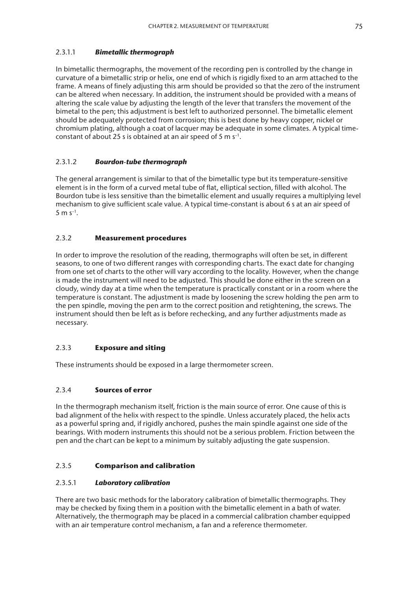### 2.3.1.1 *Bimetallic thermograph*

In bimetallic thermographs, the movement of the recording pen is controlled by the change in curvature of a bimetallic strip or helix, one end of which is rigidly fixed to an arm attached to the frame. A means of finely adjusting this arm should be provided so that the zero of the instrument can be altered when necessary. In addition, the instrument should be provided with a means of altering the scale value by adjusting the length of the lever that transfers the movement of the bimetal to the pen; this adjustment is best left to authorized personnel. The bimetallic element should be adequately protected from corrosion; this is best done by heavy copper, nickel or chromium plating, although a coat of lacquer may be adequate in some climates. A typical timeconstant of about 25 s is obtained at an air speed of 5 m  $s^{-1}$ .

### 2.3.1.2 *Bourdon-tube thermograph*

The general arrangement is similar to that of the bimetallic type but its temperature-sensitive element is in the form of a curved metal tube of flat, elliptical section, filled with alcohol. The Bourdon tube is less sensitive than the bimetallic element and usually requires a multiplying level mechanism to give sufficient scale value. A typical time-constant is about 6 s at an air speed of  $5 \text{ m s}^{-1}$ .

### 2.3.2 **Measurement procedures**

In order to improve the resolution of the reading, thermographs will often be set, in different seasons, to one of two different ranges with corresponding charts. The exact date for changing from one set of charts to the other will vary according to the locality. However, when the change is made the instrument will need to be adjusted. This should be done either in the screen on a cloudy, windy day at a time when the temperature is practically constant or in a room where the temperature is constant. The adjustment is made by loosening the screw holding the pen arm to the pen spindle, moving the pen arm to the correct position and retightening, the screws. The instrument should then be left as is before rechecking, and any further adjustments made as necessary.

### 2.3.3 **Exposure and siting**

These instruments should be exposed in a large thermometer screen.

### 2.3.4 **Sources of error**

In the thermograph mechanism itself, friction is the main source of error. One cause of this is bad alignment of the helix with respect to the spindle. Unless accurately placed, the helix acts as a powerful spring and, if rigidly anchored, pushes the main spindle against one side of the bearings. With modern instruments this should not be a serious problem. Friction between the pen and the chart can be kept to a minimum by suitably adjusting the gate suspension.

### 2.3.5 **Comparison and calibration**

### 2.3.5.1 *Laboratory calibration*

There are two basic methods for the laboratory calibration of bimetallic thermographs. They may be checked by fixing them in a position with the bimetallic element in a bath of water. Alternatively, the thermograph may be placed in a commercial calibration chamber equipped with an air temperature control mechanism, a fan and a reference thermometer.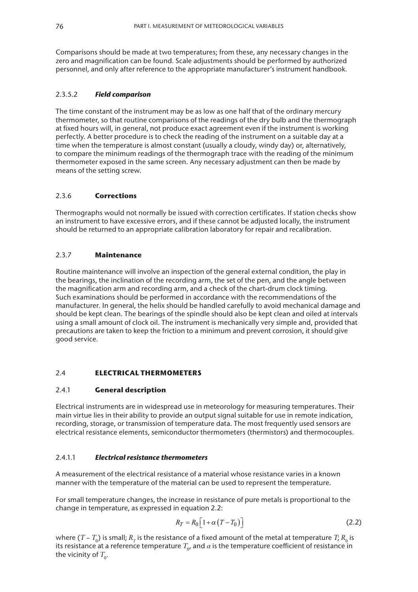Comparisons should be made at two temperatures; from these, any necessary changes in the zero and magnification can be found. Scale adjustments should be performed by authorized personnel, and only after reference to the appropriate manufacturer's instrument handbook.

### 2.3.5.2 *Field comparison*

The time constant of the instrument may be as low as one half that of the ordinary mercury thermometer, so that routine comparisons of the readings of the dry bulb and the thermograph at fixed hours will, in general, not produce exact agreement even if the instrument is working perfectly. A better procedure is to check the reading of the instrument on a suitable day at a time when the temperature is almost constant (usually a cloudy, windy day) or, alternatively, to compare the minimum readings of the thermograph trace with the reading of the minimum thermometer exposed in the same screen. Any necessary adjustment can then be made by means of the setting screw.

### 2.3.6 **Corrections**

Thermographs would not normally be issued with correction certificates. If station checks show an instrument to have excessive errors, and if these cannot be adjusted locally, the instrument should be returned to an appropriate calibration laboratory for repair and recalibration.

### 2.3.7 **Maintenance**

Routine maintenance will involve an inspection of the general external condition, the play in the bearings, the inclination of the recording arm, the set of the pen, and the angle between the magnification arm and recording arm, and a check of the chart-drum clock timing. Such examinations should be performed in accordance with the recommendations of the manufacturer. In general, the helix should be handled carefully to avoid mechanical damage and should be kept clean. The bearings of the spindle should also be kept clean and oiled at intervals using a small amount of clock oil. The instrument is mechanically very simple and, provided that precautions are taken to keep the friction to a minimum and prevent corrosion, it should give good service.

### 2.4 **ELECTRICAL THERMOMETERS**

### 2.4.1 **General description**

Electrical instruments are in widespread use in meteorology for measuring temperatures. Their main virtue lies in their ability to provide an output signal suitable for use in remote indication, recording, storage, or transmission of temperature data. The most frequently used sensors are electrical resistance elements, semiconductor thermometers (thermistors) and thermocouples.

### 2.4.1.1 *Electrical resistance thermometers*

A measurement of the electrical resistance of a material whose resistance varies in a known manner with the temperature of the material can be used to represent the temperature.

For small temperature changes, the increase in resistance of pure metals is proportional to the change in temperature, as expressed in equation 2.2:

$$
R_T = R_0 \left[ 1 + \alpha \left( T - T_0 \right) \right] \tag{2.2}
$$

where ( $T$  –  $T_{\rm o}$ ) is small;  $R_{_T}$  is the resistance of a fixed amount of the metal at temperature  $T$ ;  $R_{\rm o}$  is its resistance at a reference temperature  $T^{}_{\rm o}$ , and  $\alpha$  is the temperature coefficient of resistance in the vicinity of  $T_0$ .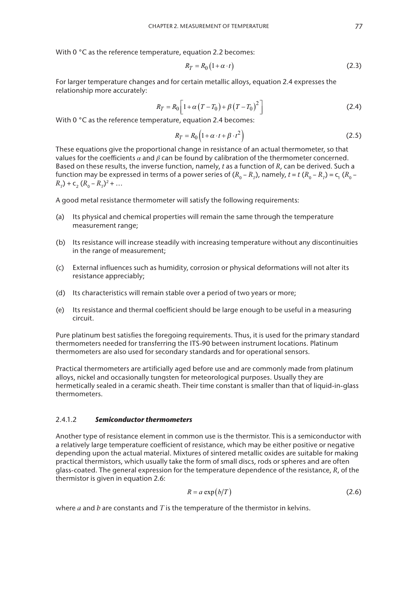With 0 °C as the reference temperature, equation 2.2 becomes:

$$
R_T = R_0 \left( 1 + \alpha \cdot t \right) \tag{2.3}
$$

For larger temperature changes and for certain metallic alloys, equation 2.4 expresses the relationship more accurately:

$$
R_T = R_0 \left[ 1 + \alpha \left( T - T_0 \right) + \beta \left( T - T_0 \right)^2 \right] \tag{2.4}
$$

With 0 °C as the reference temperature, equation 2.4 becomes:

$$
R_T = R_0 \left( 1 + \alpha \cdot t + \beta \cdot t^2 \right) \tag{2.5}
$$

These equations give the proportional change in resistance of an actual thermometer, so that values for the coefficients  $\alpha$  and  $\beta$  can be found by calibration of the thermometer concerned. Based on these results, the inverse function, namely, *t* as a function of *R*, can be derived. Such a function may be expressed in terms of a power series of  $(R_{_0}-R_{_T})$ , namely,  $t$  =  $t$   $(R_{_0}-R_{_T})$  =  $\varsigma_{_1}$   $(R_{_0} R_T$ ) + c<sub>2</sub> ( $R_0 - R_T$ )<sup>2</sup> + ...

A good metal resistance thermometer will satisfy the following requirements:

- (a) Its physical and chemical properties will remain the same through the temperature measurement range;
- (b) Its resistance will increase steadily with increasing temperature without any discontinuities in the range of measurement;
- (c) External influences such as humidity, corrosion or physical deformations will not alter its resistance appreciably;
- (d) Its characteristics will remain stable over a period of two years or more;
- (e) Its resistance and thermal coefficient should be large enough to be useful in a measuring circuit.

Pure platinum best satisfies the foregoing requirements. Thus, it is used for the primary standard thermometers needed for transferring the ITS-90 between instrument locations. Platinum thermometers are also used for secondary standards and for operational sensors.

Practical thermometers are artificially aged before use and are commonly made from platinum alloys, nickel and occasionally tungsten for meteorological purposes. Usually they are hermetically sealed in a ceramic sheath. Their time constant is smaller than that of liquid-in-glass thermometers.

### 2.4.1.2 *Semiconductor thermometers*

Another type of resistance element in common use is the thermistor. This is a semiconductor with a relatively large temperature coefficient of resistance, which may be either positive or negative depending upon the actual material. Mixtures of sintered metallic oxides are suitable for making practical thermistors, which usually take the form of small discs, rods or spheres and are often glass-coated. The general expression for the temperature dependence of the resistance, *R*, of the thermistor is given in equation 2.6:

$$
R = a \exp(b/T) \tag{2.6}
$$

where *a* and *b* are constants and *T* is the temperature of the thermistor in kelvins.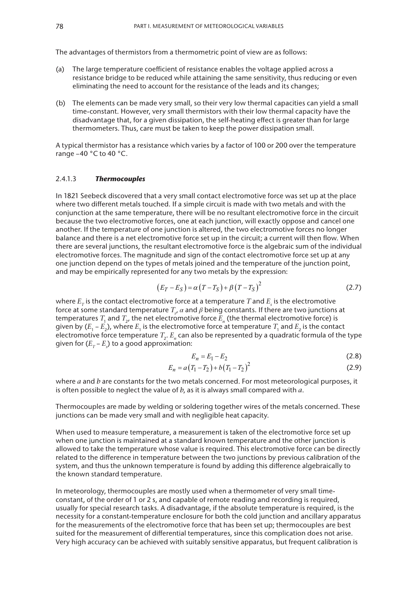The advantages of thermistors from a thermometric point of view are as follows:

- (a) The large temperature coefficient of resistance enables the voltage applied across a resistance bridge to be reduced while attaining the same sensitivity, thus reducing or even eliminating the need to account for the resistance of the leads and its changes;
- (b) The elements can be made very small, so their very low thermal capacities can yield a small time-constant. However, very small thermistors with their low thermal capacity have the disadvantage that, for a given dissipation, the self-heating effect is greater than for large thermometers. Thus, care must be taken to keep the power dissipation small.

A typical thermistor has a resistance which varies by a factor of 100 or 200 over the temperature range  $-40$  °C to 40 °C.

#### 2.4.1.3 *Thermocouples*

In 1821 Seebeck discovered that a very small contact electromotive force was set up at the place where two different metals touched. If a simple circuit is made with two metals and with the conjunction at the same temperature, there will be no resultant electromotive force in the circuit because the two electromotive forces, one at each junction, will exactly oppose and cancel one another. If the temperature of one junction is altered, the two electromotive forces no longer balance and there is a net electromotive force set up in the circuit; a current will then flow. When there are several junctions, the resultant electromotive force is the algebraic sum of the individual electromotive forces. The magnitude and sign of the contact electromotive force set up at any one junction depend on the types of metals joined and the temperature of the junction point, and may be empirically represented for any two metals by the expression:

$$
(E_T - E_S) = \alpha (T - T_S) + \beta (T - T_S)^2
$$
\n(2.7)

where  $E_{_{T}}$  is the contact electromotive force at a temperature  $T$  and  $E_{_{\mathrm{s}}}$  is the electromotive force at some standard temperature  $T_{\scriptscriptstyle S}$ ,  $\alpha$  and  $\beta$  being constants. If there are two junctions at temperatures  $T_{\rm 1}$  and  $T_{\rm 2}$ , the net electromotive force  $E_{_{n}}$  (the thermal electromotive force) is given by  $(E_{_1}$  –  $E_{_2}$ ), where  $E_{_1}$  is the electromotive force at temperature  $T_{_1}$  and  $E_{_2}$  is the contact electromotive force temperature  $T_2$ .  $E_n$  can also be represented by a quadratic formula of the type given for  $(E_{_{T}}$ – $E_{_{S}}$ ) to a good approximation:

$$
E_n = E_1 - E_2 \tag{2.8}
$$

$$
E_n = a(T_1 - T_2) + b(T_1 - T_2)^2
$$
\n(2.9)

where *a* and *b* are constants for the two metals concerned. For most meteorological purposes, it is often possible to neglect the value of *b*, as it is always small compared with *a*.

Thermocouples are made by welding or soldering together wires of the metals concerned. These junctions can be made very small and with negligible heat capacity.

When used to measure temperature, a measurement is taken of the electromotive force set up when one junction is maintained at a standard known temperature and the other junction is allowed to take the temperature whose value is required. This electromotive force can be directly related to the difference in temperature between the two junctions by previous calibration of the system, and thus the unknown temperature is found by adding this difference algebraically to the known standard temperature.

In meteorology, thermocouples are mostly used when a thermometer of very small timeconstant, of the order of 1 or 2 s, and capable of remote reading and recording is required, usually for special research tasks. A disadvantage, if the absolute temperature is required, is the necessity for a constant-temperature enclosure for both the cold junction and ancillary apparatus for the measurements of the electromotive force that has been set up; thermocouples are best suited for the measurement of differential temperatures, since this complication does not arise. Very high accuracy can be achieved with suitably sensitive apparatus, but frequent calibration is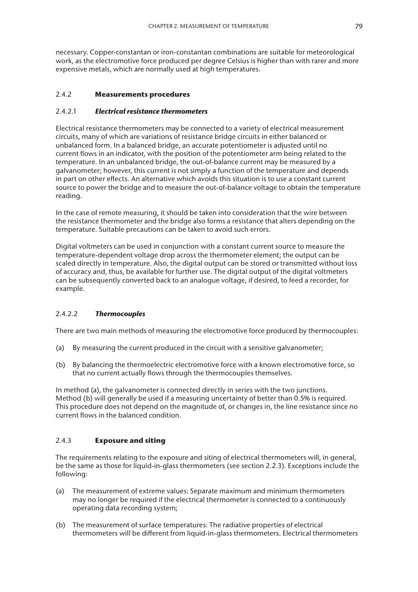necessary. Copper-constantan or iron-constantan combinations are suitable for meteorological work, as the electromotive force produced per degree Celsius is higher than with rarer and more expensive metals, which are normally used at high temperatures.

## 2.4.2 **Measurements procedures**

### 2.4.2.1 *Electrical resistance thermometers*

Electrical resistance thermometers may be connected to a variety of electrical measurement circuits, many of which are variations of resistance bridge circuits in either balanced or unbalanced form. In a balanced bridge, an accurate potentiometer is adjusted until no current flows in an indicator, with the position of the potentiometer arm being related to the temperature. In an unbalanced bridge, the out-of-balance current may be measured by a galvanometer; however, this current is not simply a function of the temperature and depends in part on other effects. An alternative which avoids this situation is to use a constant current source to power the bridge and to measure the out-of-balance voltage to obtain the temperature reading.

In the case of remote measuring, it should be taken into consideration that the wire between the resistance thermometer and the bridge also forms a resistance that alters depending on the temperature. Suitable precautions can be taken to avoid such errors.

Digital voltmeters can be used in conjunction with a constant current source to measure the temperature-dependent voltage drop across the thermometer element; the output can be scaled directly in temperature. Also, the digital output can be stored or transmitted without loss of accuracy and, thus, be available for further use. The digital output of the digital voltmeters can be subsequently converted back to an analogue voltage, if desired, to feed a recorder, for example.

### 2.4.2.2 *Thermocouples*

There are two main methods of measuring the electromotive force produced by thermocouples:

- (a) By measuring the current produced in the circuit with a sensitive galvanometer;
- (b) By balancing the thermoelectric electromotive force with a known electromotive force, so that no current actually flows through the thermocouples themselves.

In method (a), the galvanometer is connected directly in series with the two junctions. Method (b) will generally be used if a measuring uncertainty of better than 0.5% is required. This procedure does not depend on the magnitude of, or changes in, the line resistance since no current flows in the balanced condition.

### 2.4.3 **Exposure and siting**

The requirements relating to the exposure and siting of electrical thermometers will, in general, be the same as those for liquid-in-glass thermometers (see section 2.2.3). Exceptions include the following:

- (a) The measurement of extreme values: Separate maximum and minimum thermometers may no longer be required if the electrical thermometer is connected to a continuously operating data recording system;
- (b) The measurement of surface temperatures: The radiative properties of electrical thermometers will be different from liquid-in-glass thermometers. Electrical thermometers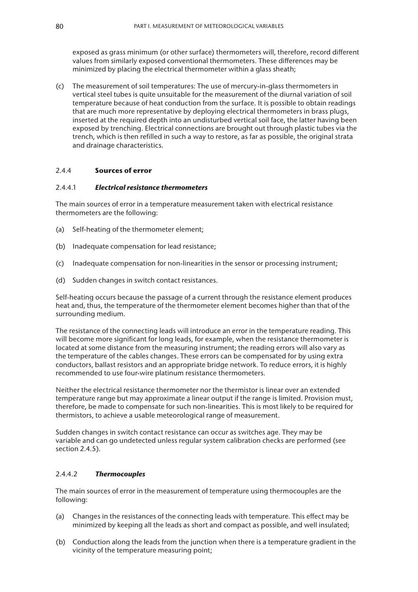exposed as grass minimum (or other surface) thermometers will, therefore, record different values from similarly exposed conventional thermometers. These differences may be minimized by placing the electrical thermometer within a glass sheath;

(c) The measurement of soil temperatures: The use of mercury-in-glass thermometers in vertical steel tubes is quite unsuitable for the measurement of the diurnal variation of soil temperature because of heat conduction from the surface. It is possible to obtain readings that are much more representative by deploying electrical thermometers in brass plugs, inserted at the required depth into an undisturbed vertical soil face, the latter having been exposed by trenching. Electrical connections are brought out through plastic tubes via the trench, which is then refilled in such a way to restore, as far as possible, the original strata and drainage characteristics.

### 2.4.4 **Sources of error**

#### 2.4.4.1 *Electrical resistance thermometers*

The main sources of error in a temperature measurement taken with electrical resistance thermometers are the following:

- (a) Self-heating of the thermometer element;
- (b) Inadequate compensation for lead resistance;
- (c) Inadequate compensation for non-linearities in the sensor or processing instrument;
- (d) Sudden changes in switch contact resistances.

Self-heating occurs because the passage of a current through the resistance element produces heat and, thus, the temperature of the thermometer element becomes higher than that of the surrounding medium.

The resistance of the connecting leads will introduce an error in the temperature reading. This will become more significant for long leads, for example, when the resistance thermometer is located at some distance from the measuring instrument; the reading errors will also vary as the temperature of the cables changes. These errors can be compensated for by using extra conductors, ballast resistors and an appropriate bridge network. To reduce errors, it is highly recommended to use four-wire platinum resistance thermometers.

Neither the electrical resistance thermometer nor the thermistor is linear over an extended temperature range but may approximate a linear output if the range is limited. Provision must, therefore, be made to compensate for such non-linearities. This is most likely to be required for thermistors, to achieve a usable meteorological range of measurement.

Sudden changes in switch contact resistance can occur as switches age. They may be variable and can go undetected unless regular system calibration checks are performed (see section 2.4.5).

### 2.4.4.2 *Thermocouples*

The main sources of error in the measurement of temperature using thermocouples are the following:

- (a) Changes in the resistances of the connecting leads with temperature. This effect may be minimized by keeping all the leads as short and compact as possible, and well insulated;
- (b) Conduction along the leads from the junction when there is a temperature gradient in the vicinity of the temperature measuring point;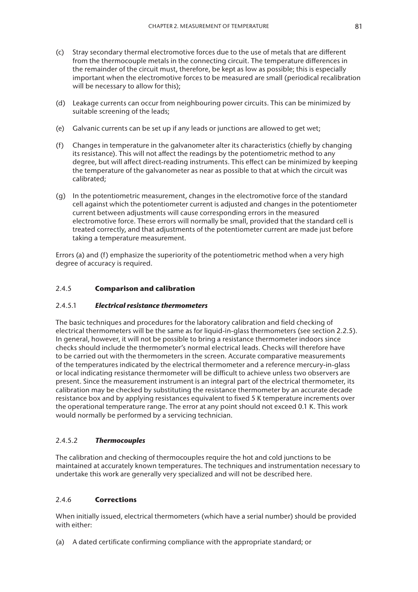- (c) Stray secondary thermal electromotive forces due to the use of metals that are different from the thermocouple metals in the connecting circuit. The temperature differences in the remainder of the circuit must, therefore, be kept as low as possible; this is especially important when the electromotive forces to be measured are small (periodical recalibration will be necessary to allow for this);
- (d) Leakage currents can occur from neighbouring power circuits. This can be minimized by suitable screening of the leads;
- (e) Galvanic currents can be set up if any leads or junctions are allowed to get wet;
- (f) Changes in temperature in the galvanometer alter its characteristics (chiefly by changing its resistance). This will not affect the readings by the potentiometric method to any degree, but will affect direct-reading instruments. This effect can be minimized by keeping the temperature of the galvanometer as near as possible to that at which the circuit was calibrated;
- (g) In the potentiometric measurement, changes in the electromotive force of the standard cell against which the potentiometer current is adjusted and changes in the potentiometer current between adjustments will cause corresponding errors in the measured electromotive force. These errors will normally be small, provided that the standard cell is treated correctly, and that adjustments of the potentiometer current are made just before taking a temperature measurement.

Errors (a) and (f) emphasize the superiority of the potentiometric method when a very high degree of accuracy is required.

### 2.4.5 **Comparison and calibration**

### 2.4.5.1 *Electrical resistance thermometers*

The basic techniques and procedures for the laboratory calibration and field checking of electrical thermometers will be the same as for liquid-in-glass thermometers (see section 2.2.5). In general, however, it will not be possible to bring a resistance thermometer indoors since checks should include the thermometer's normal electrical leads. Checks will therefore have to be carried out with the thermometers in the screen. Accurate comparative measurements of the temperatures indicated by the electrical thermometer and a reference mercury-in-glass or local indicating resistance thermometer will be difficult to achieve unless two observers are present. Since the measurement instrument is an integral part of the electrical thermometer, its calibration may be checked by substituting the resistance thermometer by an accurate decade resistance box and by applying resistances equivalent to fixed 5 K temperature increments over the operational temperature range. The error at any point should not exceed 0.1 K. This work would normally be performed by a servicing technician.

### 2.4.5.2 *Thermocouples*

The calibration and checking of thermocouples require the hot and cold junctions to be maintained at accurately known temperatures. The techniques and instrumentation necessary to undertake this work are generally very specialized and will not be described here.

### 2.4.6 **Corrections**

When initially issued, electrical thermometers (which have a serial number) should be provided with either:

(a) A dated certificate confirming compliance with the appropriate standard; or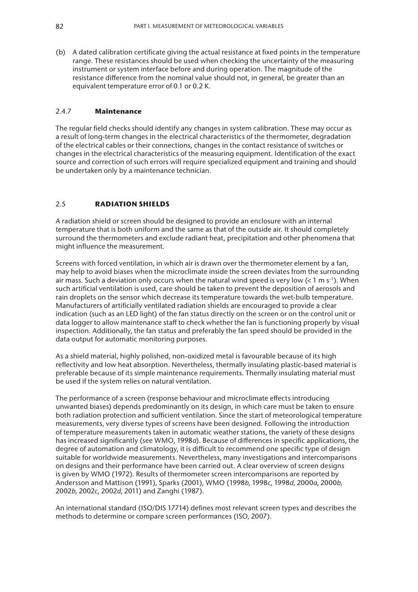(b) A dated calibration certificate giving the actual resistance at fixed points in the temperature range. These resistances should be used when checking the uncertainty of the measuring instrument or system interface before and during operation. The magnitude of the resistance difference from the nominal value should not, in general, be greater than an equivalent temperature error of 0.1 or 0.2 K.

### 2.4.7 **Maintenance**

The regular field checks should identify any changes in system calibration. These may occur as a result of long-term changes in the electrical characteristics of the thermometer, degradation of the electrical cables or their connections, changes in the contact resistance of switches or changes in the electrical characteristics of the measuring equipment. Identification of the exact source and correction of such errors will require specialized equipment and training and should be undertaken only by a maintenance technician.

### 2.5 **RADIATION SHIELDS**

A radiation shield or screen should be designed to provide an enclosure with an internal temperature that is both uniform and the same as that of the outside air. It should completely surround the thermometers and exclude radiant heat, precipitation and other phenomena that might influence the measurement.

Screens with forced ventilation, in which air is drawn over the thermometer element by a fan, may help to avoid biases when the microclimate inside the screen deviates from the surrounding air mass. Such a deviation only occurs when the natural wind speed is very low ( $< 1$  m s<sup>-1</sup>). When such artificial ventilation is used, care should be taken to prevent the deposition of aerosols and rain droplets on the sensor which decrease its temperature towards the wet-bulb temperature. Manufacturers of artificially ventilated radiation shields are encouraged to provide a clear indication (such as an LED light) of the fan status directly on the screen or on the control unit or data logger to allow maintenance staff to check whether the fan is functioning properly by visual inspection. Additionally, the fan status and preferably the fan speed should be provided in the data output for automatic monitoring purposes.

As a shield material, highly polished, non-oxidized metal is favourable because of its high reflectivity and low heat absorption. Nevertheless, thermally insulating plastic-based material is preferable because of its simple maintenance requirements. Thermally insulating material must be used if the system relies on natural ventilation.

The performance of a screen (response behaviour and microclimate effects introducing unwanted biases) depends predominantly on its design, in which care must be taken to ensure both radiation protection and sufficient ventilation. Since the start of meteorological temperature measurements, very diverse types of screens have been designed. Following the introduction of temperature measurements taken in automatic weather stations, the variety of these designs has increased significantly (see WMO, 1998*a*). Because of differences in specific applications, the degree of automation and climatology, it is difficult to recommend one specific type of design suitable for worldwide measurements. Nevertheless, many investigations and intercomparisons on designs and their performance have been carried out. A clear overview of screen designs is given by WMO (1972). Results of thermometer screen intercomparisons are reported by Andersson and Mattison (1991), Sparks (2001), WMO (1998*b*, 1998*c*, 1998*d*, 2000*a*, 2000*b*, 2002*b*, 2002*c*, 2002*d*, 2011) and Zanghi (1987).

An international standard (ISO/DIS 17714) defines most relevant screen types and describes the methods to determine or compare screen performances (ISO, 2007).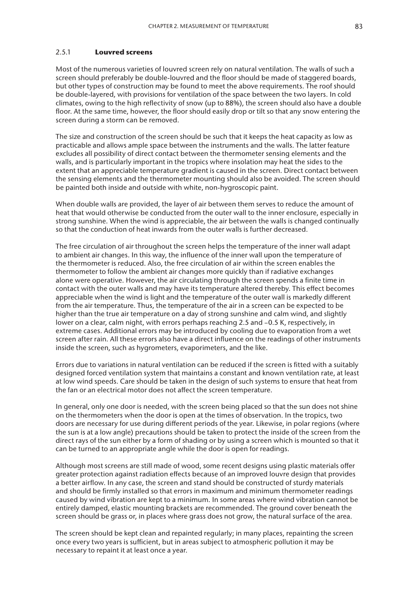### 2.5.1 **Louvred screens**

Most of the numerous varieties of louvred screen rely on natural ventilation. The walls of such a screen should preferably be double-louvred and the floor should be made of staggered boards, but other types of construction may be found to meet the above requirements. The roof should be double-layered, with provisions for ventilation of the space between the two layers. In cold climates, owing to the high reflectivity of snow (up to 88%), the screen should also have a double floor. At the same time, however, the floor should easily drop or tilt so that any snow entering the screen during a storm can be removed.

The size and construction of the screen should be such that it keeps the heat capacity as low as practicable and allows ample space between the instruments and the walls. The latter feature excludes all possibility of direct contact between the thermometer sensing elements and the walls, and is particularly important in the tropics where insolation may heat the sides to the extent that an appreciable temperature gradient is caused in the screen. Direct contact between the sensing elements and the thermometer mounting should also be avoided. The screen should be painted both inside and outside with white, non-hygroscopic paint.

When double walls are provided, the layer of air between them serves to reduce the amount of heat that would otherwise be conducted from the outer wall to the inner enclosure, especially in strong sunshine. When the wind is appreciable, the air between the walls is changed continually so that the conduction of heat inwards from the outer walls is further decreased.

The free circulation of air throughout the screen helps the temperature of the inner wall adapt to ambient air changes. In this way, the influence of the inner wall upon the temperature of the thermometer is reduced. Also, the free circulation of air within the screen enables the thermometer to follow the ambient air changes more quickly than if radiative exchanges alone were operative. However, the air circulating through the screen spends a finite time in contact with the outer walls and may have its temperature altered thereby. This effect becomes appreciable when the wind is light and the temperature of the outer wall is markedly different from the air temperature. Thus, the temperature of the air in a screen can be expected to be higher than the true air temperature on a day of strong sunshine and calm wind, and slightly lower on a clear, calm night, with errors perhaps reaching 2.5 and –0.5 K, respectively, in extreme cases. Additional errors may be introduced by cooling due to evaporation from a wet screen after rain. All these errors also have a direct influence on the readings of other instruments inside the screen, such as hygrometers, evaporimeters, and the like.

Errors due to variations in natural ventilation can be reduced if the screen is fitted with a suitably designed forced ventilation system that maintains a constant and known ventilation rate, at least at low wind speeds. Care should be taken in the design of such systems to ensure that heat from the fan or an electrical motor does not affect the screen temperature.

In general, only one door is needed, with the screen being placed so that the sun does not shine on the thermometers when the door is open at the times of observation. In the tropics, two doors are necessary for use during different periods of the year. Likewise, in polar regions (where the sun is at a low angle) precautions should be taken to protect the inside of the screen from the direct rays of the sun either by a form of shading or by using a screen which is mounted so that it can be turned to an appropriate angle while the door is open for readings.

Although most screens are still made of wood, some recent designs using plastic materials offer greater protection against radiation effects because of an improved louvre design that provides a better airflow. In any case, the screen and stand should be constructed of sturdy materials and should be firmly installed so that errors in maximum and minimum thermometer readings caused by wind vibration are kept to a minimum. In some areas where wind vibration cannot be entirely damped, elastic mounting brackets are recommended. The ground cover beneath the screen should be grass or, in places where grass does not grow, the natural surface of the area.

The screen should be kept clean and repainted regularly; in many places, repainting the screen once every two years is sufficient, but in areas subject to atmospheric pollution it may be necessary to repaint it at least once a year.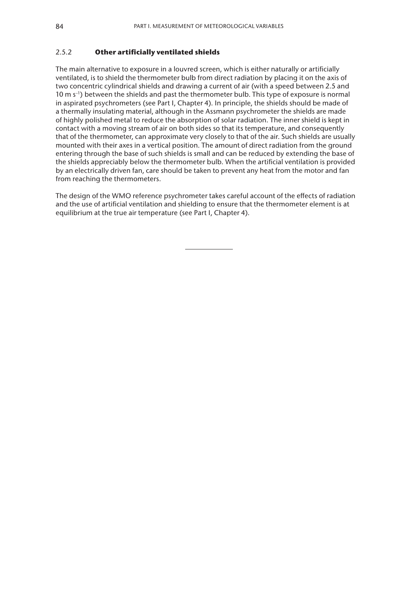## 2.5.2 **Other artificially ventilated shields**

The main alternative to exposure in a louvred screen, which is either naturally or artificially ventilated, is to shield the thermometer bulb from direct radiation by placing it on the axis of two concentric cylindrical shields and drawing a current of air (with a speed between 2.5 and 10 m s<sup>-1</sup>) between the shields and past the thermometer bulb. This type of exposure is normal in aspirated psychrometers (see Part I, Chapter 4). In principle, the shields should be made of a thermally insulating material, although in the Assmann psychrometer the shields are made of highly polished metal to reduce the absorption of solar radiation. The inner shield is kept in contact with a moving stream of air on both sides so that its temperature, and consequently that of the thermometer, can approximate very closely to that of the air. Such shields are usually mounted with their axes in a vertical position. The amount of direct radiation from the ground entering through the base of such shields is small and can be reduced by extending the base of the shields appreciably below the thermometer bulb. When the artificial ventilation is provided by an electrically driven fan, care should be taken to prevent any heat from the motor and fan from reaching the thermometers.

The design of the WMO reference psychrometer takes careful account of the effects of radiation and the use of artificial ventilation and shielding to ensure that the thermometer element is at equilibrium at the true air temperature (see Part I, Chapter 4).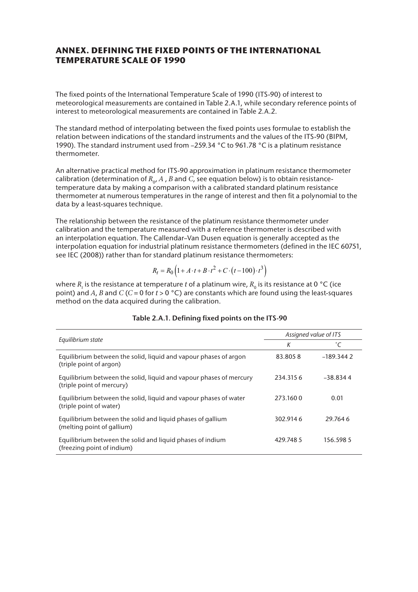## **ANNEX. DEFINING THE FIXED POINTS OF THE INTERNATIONAL TEMPERATURE SCALE OF 1990**

The fixed points of the International Temperature Scale of 1990 (ITS-90) of interest to meteorological measurements are contained in Table 2.A.1, while secondary reference points of interest to meteorological measurements are contained in Table 2.A.2.

The standard method of interpolating between the fixed points uses formulae to establish the relation between indications of the standard instruments and the values of the ITS-90 (BIPM, 1990). The standard instrument used from –259.34 °C to 961.78 °C is a platinum resistance thermometer.

An alternative practical method for ITS-90 approximation in platinum resistance thermometer calibration (determination of  $R_{\rm o}$ ,  $A$  ,  $B$  and  $C$ , see equation below) is to obtain resistancetemperature data by making a comparison with a calibrated standard platinum resistance thermometer at numerous temperatures in the range of interest and then fit a polynomial to the data by a least-squares technique.

The relationship between the resistance of the platinum resistance thermometer under calibration and the temperature measured with a reference thermometer is described with an interpolation equation. The Callendar–Van Dusen equation is generally accepted as the interpolation equation for industrial platinum resistance thermometers (defined in the IEC 60751, see IEC (2008)) rather than for standard platinum resistance thermometers:

$$
R_t = R_0 \left( 1 + A \cdot t + B \cdot t^2 + C \cdot \left( t - 100 \right) \cdot t^3 \right)
$$

where  $R_t$  is the resistance at temperature *t* of a platinum wire,  $R_o$  is its resistance at 0 °C (ice point) and *A*, *B* and *C* (*C* = 0 for *t* > 0 °C) are constants which are found using the least-squares method on the data acquired during the calibration.

|                                                                                                 | Assigned value of ITS |             |  |
|-------------------------------------------------------------------------------------------------|-----------------------|-------------|--|
| Equilibrium state                                                                               | К                     | $\hat{C}$   |  |
| Equilibrium between the solid, liquid and vapour phases of argon<br>(triple point of argon)     | 83.8058               | $-189.3442$ |  |
| Equilibrium between the solid, liquid and vapour phases of mercury<br>(triple point of mercury) | 234.3156              | $-38.8344$  |  |
| Equilibrium between the solid, liquid and vapour phases of water<br>(triple point of water)     | 273.1600              | 0.01        |  |
| Equilibrium between the solid and liquid phases of gallium<br>(melting point of gallium)        | 302.914 6             | 29.764.6    |  |
| Equilibrium between the solid and liquid phases of indium<br>(freezing point of indium)         | 429.748.5             | 156.598.5   |  |

## **Table 2.A.1. Defining fixed points on the ITS-90**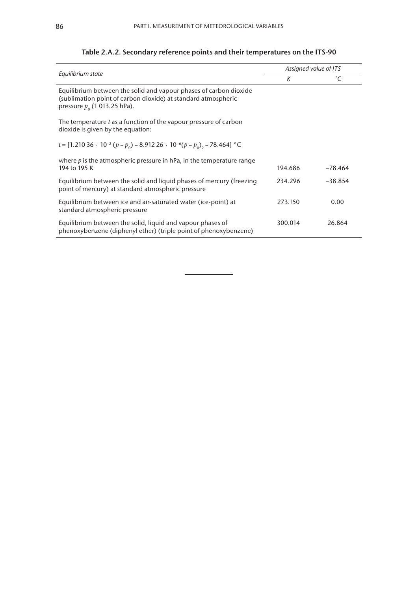|                                                                                                                                                                      | Assigned value of ITS |             |  |
|----------------------------------------------------------------------------------------------------------------------------------------------------------------------|-----------------------|-------------|--|
| Equilibrium state                                                                                                                                                    | К                     | $^{\circ}C$ |  |
| Equilibrium between the solid and vapour phases of carbon dioxide<br>(sublimation point of carbon dioxide) at standard atmospheric<br>pressure $p_0$ (1 013.25 hPa). |                       |             |  |
| The temperature t as a function of the vapour pressure of carbon<br>dioxide is given by the equation:                                                                |                       |             |  |
| t = [1.210 36 · 10 <sup>-2</sup> (p - p <sub>0</sub> ) – 8.912 26 · 10 <sup>-6</sup> (p - p <sub>0</sub> ) <sub>2</sub> – 78.464] °C                                 |                       |             |  |
| where $p$ is the atmospheric pressure in hPa, in the temperature range<br>194 to 195 K                                                                               | 194.686               | $-78.464$   |  |
| Equilibrium between the solid and liquid phases of mercury (freezing<br>point of mercury) at standard atmospheric pressure                                           | 234.296               | $-38.854$   |  |
| Equilibrium between ice and air-saturated water (ice-point) at<br>standard atmospheric pressure                                                                      | 273.150               | 0.00        |  |
| Equilibrium between the solid, liquid and vapour phases of<br>phenoxybenzene (diphenyl ether) (triple point of phenoxybenzene)                                       | 300.014               | 26.864      |  |

**Table 2.A.2. Secondary reference points and their temperatures on the ITS-90**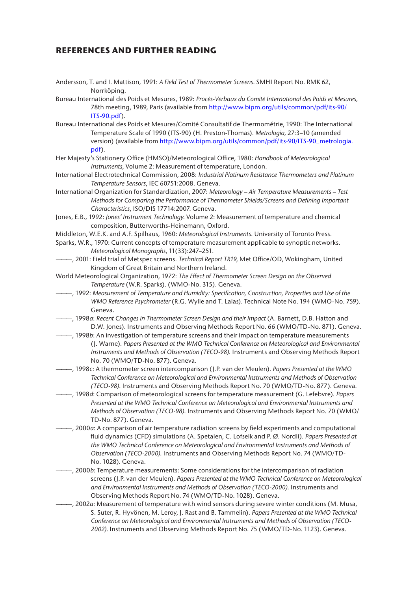## **REFERENCES AND FURTHER READING**

- Andersson, T. and I. Mattison, 1991: *A Field Test of Thermometer Screens*. SMHI Report No. RMK 62, Norrköping. Bureau International des Poids et Mesures, 1989: *Procès-Verbaux du Comité International des Poids et Mesures*, 78th meeting, 1989, Paris (available from [http://www.bipm.org/utils/common/pdf/its-90/](http://www.bipm.org/utils/common/pdf/its-90/ITS-90.pdf) [ITS-90.pdf\)](http://www.bipm.org/utils/common/pdf/its-90/ITS-90.pdf). Bureau International des Poids et Mesures/Comité Consultatif de Thermométrie, 1990: The International Temperature Scale of 1990 (ITS-90) (H. Preston-Thomas). *Metrologia*, 27:3–10 (amended version) (available from [http://www.bipm.org/utils/common/pdf/its-90/ITS-90\\_metrologia.](http://www.bipm.org/utils/common/pdf/its-90/ITS-90_metrologia.pdf) [pdf\)](http://www.bipm.org/utils/common/pdf/its-90/ITS-90_metrologia.pdf). Her Majesty's Stationery Office (HMSO)/Meteorological Office, 1980: *Handbook of Meteorological Instruments*, Volume 2: Measurement of temperature, London. International Electrotechnical Commission, 2008: *Industrial Platinum Resistance Thermometers and Platinum Temperature Sensors*, IEC 60751:2008. Geneva. International Organization for Standardization, 2007: *Meteorology – Air Temperature Measurements – Test Methods for Comparing the Performance of Thermometer Shields/Screens and Defining Important Characteristics*, ISO/DIS 17714:2007. Geneva. Jones, E.B., 1992: *Jones' Instrument Technology*. Volume 2: Measurement of temperature and chemical composition, Butterworths-Heinemann, Oxford. Middleton, W.E.K. and A.F. Spilhaus, 1960: *Meteorological Instruments*. University of Toronto Press. Sparks, W.R., 1970: Current concepts of temperature measurement applicable to synoptic networks. *Meteorological Monographs*, 11(33):247–251. ———, 2001: Field trial of Metspec screens. *Technical Report TR19*, Met Office/OD, Wokingham, United Kingdom of Great Britain and Northern Ireland. World Meteorological Organization, 1972: *The Effect of Thermometer Screen Design on the Observed Temperature* (W.R. Sparks). (WMO-No. 315). Geneva. ———, 1992: *Measurement of Temperature and Humidity: Specification, Construction, Properties and Use of the WMO Reference Psychrometer* (R.G. Wylie and T. Lalas). Technical Note No. 194 (WMO-No. 759). Geneva. ———, 1998*a*: *Recent Changes in Thermometer Screen Design and their Impact* (A. Barnett, D.B. Hatton and D.W. Jones). Instruments and Observing Methods Report No. 66 (WMO/TD-No. 871). Geneva. ———, 1998*b*: An investigation of temperature screens and their impact on temperature measurements (J. Warne). *Papers Presented at the WMO Technical Conference on Meteorological and Environmental Instruments and Methods of Observation (TECO-98)*. Instruments and Observing Methods Report No. 70 (WMO/TD-No. 877). Geneva.
- ———, 1998*c*: A thermometer screen intercomparison (J.P. van der Meulen). *Papers Presented at the WMO Technical Conference on Meteorological and Environmental Instruments and Methods of Observation (TECO-98)*. Instruments and Observing Methods Report No. 70 (WMO/TD-No. 877). Geneva.
- ———, 1998*d*: Comparison of meteorological screens for temperature measurement (G. Lefebvre). *Papers Presented at the WMO Technical Conference on Meteorological and Environmental Instruments and Methods of Observation (TECO-98)*. Instruments and Observing Methods Report No. 70 (WMO/ TD-No. 877). Geneva.
- ———, 2000*a*: A comparison of air temperature radiation screens by field experiments and computational fluid dynamics (CFD) simulations (A. Spetalen, C. Lofseik and P. Ø. Nordli). *Papers Presented at the WMO Technical Conference on Meteorological and Environmental Instruments and Methods of Observation (TECO-2000).* Instruments and Observing Methods Report No. 74 (WMO/TD-No. 1028). Geneva.
- ———, 2000*b*: Temperature measurements: Some considerations for the intercomparison of radiation screens (J.P. van der Meulen). *Papers Presented at the WMO Technical Conference on Meteorological and Environmental Instruments and Methods of Observation (TECO-2000)*. Instruments and Observing Methods Report No. 74 (WMO/TD-No. 1028). Geneva.
- ———, 2002*a*: Measurement of temperature with wind sensors during severe winter conditions (M. Musa, S. Suter, R. Hyvönen, M. Leroy, J. Rast and B. Tammelin). *Papers Presented at the WMO Technical Conference on Meteorological and Environmental Instruments and Methods of Observation (TECO-2002)*. Instruments and Observing Methods Report No. 75 (WMO/TD-No. 1123). Geneva.